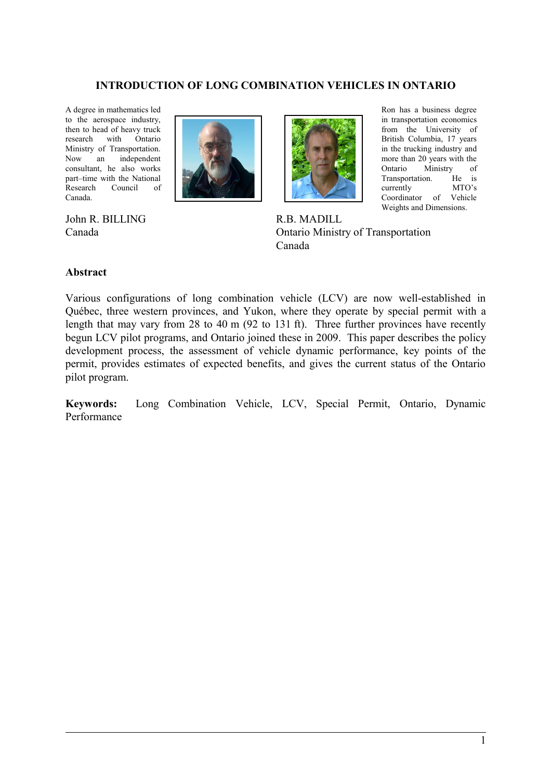#### **INTRODUCTION OF LONG COMBINATION VEHICLES IN ONTARIO**

A degree in mathematics led to the aerospace industry, then to head of heavy truck research with Ontario Ministry of Transportation. Now an independent consultant, he also works part–time with the National Research Council of Canada.



John R. BILLING Canada



Ron has a business degree in transportation economics from the University of British Columbia, 17 years in the trucking industry and more than 20 years with the Ontario Ministry of Transportation. He is currently MTO's Coordinator of Vehicle Weights and Dimensions.

R.B. MADILL Ontario Ministry of Transportation Canada

#### **Abstract**

Various configurations of long combination vehicle (LCV) are now well-established in Québec, three western provinces, and Yukon, where they operate by special permit with a length that may vary from 28 to 40 m (92 to 131 ft). Three further provinces have recently begun LCV pilot programs, and Ontario joined these in 2009. This paper describes the policy development process, the assessment of vehicle dynamic performance, key points of the permit, provides estimates of expected benefits, and gives the current status of the Ontario pilot program.

**Keywords:** Long Combination Vehicle, LCV, Special Permit, Ontario, Dynamic Performance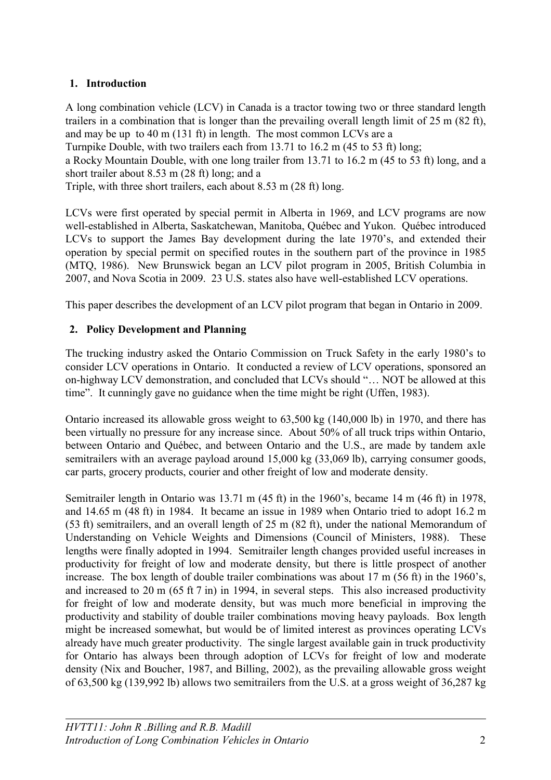# **1. Introduction**

A long combination vehicle (LCV) in Canada is a tractor towing two or three standard length trailers in a combination that is longer than the prevailing overall length limit of 25 m (82 ft), and may be up to 40 m (131 ft) in length. The most common LCVs are a Turnpike Double, with two trailers each from 13.71 to 16.2 m (45 to 53 ft) long; a Rocky Mountain Double, with one long trailer from 13.71 to 16.2 m (45 to 53 ft) long, and a short trailer about 8.53 m (28 ft) long; and a Triple, with three short trailers, each about 8.53 m (28 ft) long.

LCVs were first operated by special permit in Alberta in 1969, and LCV programs are now well-established in Alberta, Saskatchewan, Manitoba, Québec and Yukon. Québec introduced LCVs to support the James Bay development during the late 1970's, and extended their operation by special permit on specified routes in the southern part of the province in 1985 (MTQ, 1986). New Brunswick began an LCV pilot program in 2005, British Columbia in 2007, and Nova Scotia in 2009. 23 U.S. states also have well-established LCV operations.

This paper describes the development of an LCV pilot program that began in Ontario in 2009.

# **2. Policy Development and Planning**

The trucking industry asked the Ontario Commission on Truck Safety in the early 1980's to consider LCV operations in Ontario. It conducted a review of LCV operations, sponsored an on-highway LCV demonstration, and concluded that LCVs should "… NOT be allowed at this time". It cunningly gave no guidance when the time might be right (Uffen, 1983).

Ontario increased its allowable gross weight to 63,500 kg (140,000 lb) in 1970, and there has been virtually no pressure for any increase since. About 50% of all truck trips within Ontario, between Ontario and Québec, and between Ontario and the U.S., are made by tandem axle semitrailers with an average payload around 15,000 kg (33,069 lb), carrying consumer goods, car parts, grocery products, courier and other freight of low and moderate density.

Semitrailer length in Ontario was 13.71 m (45 ft) in the 1960's, became 14 m (46 ft) in 1978, and 14.65 m (48 ft) in 1984. It became an issue in 1989 when Ontario tried to adopt 16.2 m (53 ft) semitrailers, and an overall length of 25 m (82 ft), under the national Memorandum of Understanding on Vehicle Weights and Dimensions (Council of Ministers, 1988). These lengths were finally adopted in 1994. Semitrailer length changes provided useful increases in productivity for freight of low and moderate density, but there is little prospect of another increase. The box length of double trailer combinations was about 17 m (56 ft) in the 1960's, and increased to 20 m (65 ft 7 in) in 1994, in several steps. This also increased productivity for freight of low and moderate density, but was much more beneficial in improving the productivity and stability of double trailer combinations moving heavy payloads. Box length might be increased somewhat, but would be of limited interest as provinces operating LCVs already have much greater productivity. The single largest available gain in truck productivity for Ontario has always been through adoption of LCVs for freight of low and moderate density (Nix and Boucher, 1987, and Billing, 2002), as the prevailing allowable gross weight of 63,500 kg (139,992 lb) allows two semitrailers from the U.S. at a gross weight of 36,287 kg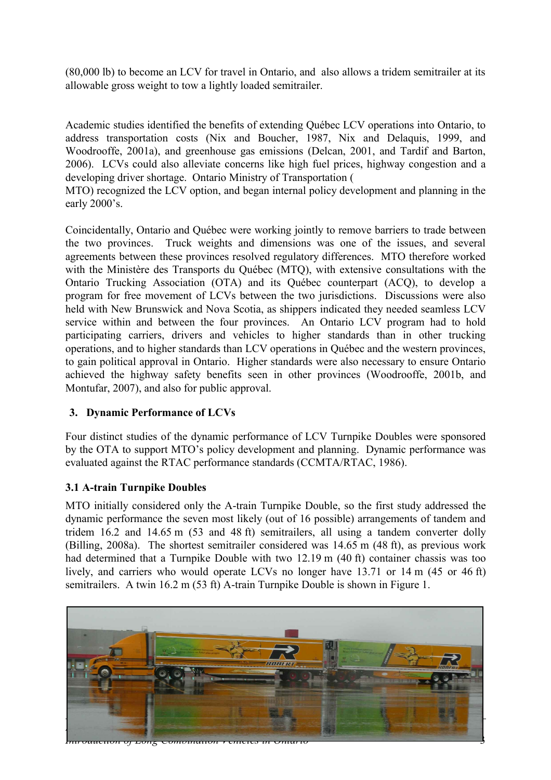(80,000 lb) to become an LCV for travel in Ontario, and also allows a tridem semitrailer at its allowable gross weight to tow a lightly loaded semitrailer.

Academic studies identified the benefits of extending Québec LCV operations into Ontario, to address transportation costs (Nix and Boucher, 1987, Nix and Delaquis, 1999, and Woodrooffe, 2001a), and greenhouse gas emissions (Delcan, 2001, and Tardif and Barton, 2006). LCVs could also alleviate concerns like high fuel prices, highway congestion and a developing driver shortage. Ontario Ministry of Transportation (

MTO) recognized the LCV option, and began internal policy development and planning in the early 2000's.

Coincidentally, Ontario and Québec were working jointly to remove barriers to trade between the two provinces. Truck weights and dimensions was one of the issues, and several agreements between these provinces resolved regulatory differences. MTO therefore worked with the Ministère des Transports du Québec (MTQ), with extensive consultations with the Ontario Trucking Association (OTA) and its Québec counterpart (ACQ), to develop a program for free movement of LCVs between the two jurisdictions. Discussions were also held with New Brunswick and Nova Scotia, as shippers indicated they needed seamless LCV service within and between the four provinces. An Ontario LCV program had to hold participating carriers, drivers and vehicles to higher standards than in other trucking operations, and to higher standards than LCV operations in Québec and the western provinces, to gain political approval in Ontario. Higher standards were also necessary to ensure Ontario achieved the highway safety benefits seen in other provinces (Woodrooffe, 2001b, and Montufar, 2007), and also for public approval.

#### **3. Dynamic Performance of LCVs**

Four distinct studies of the dynamic performance of LCV Turnpike Doubles were sponsored by the OTA to support MTO's policy development and planning. Dynamic performance was evaluated against the RTAC performance standards (CCMTA/RTAC, 1986).

#### **3.1 A-train Turnpike Doubles**

MTO initially considered only the A-train Turnpike Double, so the first study addressed the dynamic performance the seven most likely (out of 16 possible) arrangements of tandem and tridem 16.2 and 14.65 m (53 and 48 ft) semitrailers, all using a tandem converter dolly (Billing, 2008a). The shortest semitrailer considered was 14.65 m (48 ft), as previous work had determined that a Turnpike Double with two 12.19 m (40 ft) container chassis was too lively, and carriers who would operate LCVs no longer have 13.71 or 14 m (45 or 46 ft) semitrailers. A twin 16.2 m (53 ft) A-train Turnpike Double is shown in [Figure 1.](#page-3-0)

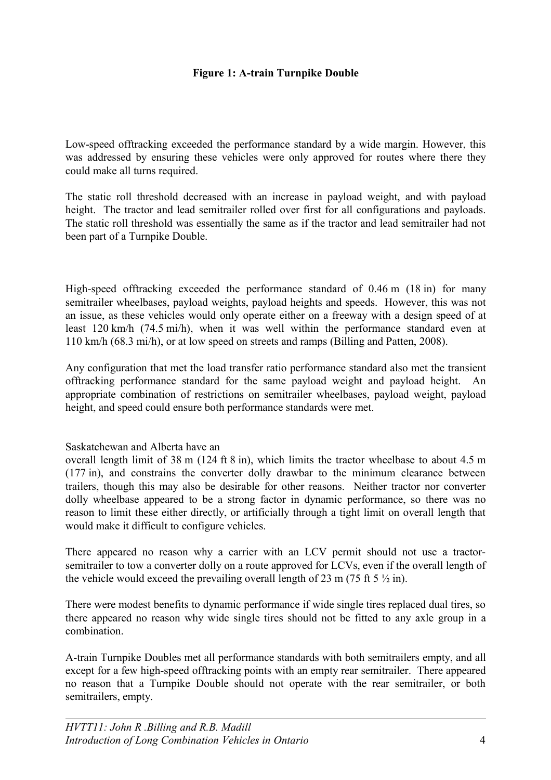#### <span id="page-3-0"></span>**Figure 1: A-train Turnpike Double**

Low-speed offtracking exceeded the performance standard by a wide margin. However, this was addressed by ensuring these vehicles were only approved for routes where there they could make all turns required.

The static roll threshold decreased with an increase in payload weight, and with payload height. The tractor and lead semitrailer rolled over first for all configurations and payloads. The static roll threshold was essentially the same as if the tractor and lead semitrailer had not been part of a Turnpike Double.

High-speed offtracking exceeded the performance standard of 0.46 m (18 in) for many semitrailer wheelbases, payload weights, payload heights and speeds. However, this was not an issue, as these vehicles would only operate either on a freeway with a design speed of at least 120 km/h (74.5 mi/h), when it was well within the performance standard even at 110 km/h (68.3 mi/h), or at low speed on streets and ramps (Billing and Patten, 2008).

Any configuration that met the load transfer ratio performance standard also met the transient offtracking performance standard for the same payload weight and payload height. An appropriate combination of restrictions on semitrailer wheelbases, payload weight, payload height, and speed could ensure both performance standards were met.

#### Saskatchewan and Alberta have an

overall length limit of  $38 \text{ m}$  (124 ft  $8 \text{ in}$ ), which limits the tractor wheelbase to about 4.5 m (177 in), and constrains the converter dolly drawbar to the minimum clearance between trailers, though this may also be desirable for other reasons. Neither tractor nor converter dolly wheelbase appeared to be a strong factor in dynamic performance, so there was no reason to limit these either directly, or artificially through a tight limit on overall length that would make it difficult to configure vehicles.

There appeared no reason why a carrier with an LCV permit should not use a tractorsemitrailer to tow a converter dolly on a route approved for LCVs, even if the overall length of the vehicle would exceed the prevailing overall length of 23 m (75 ft 5  $\frac{1}{2}$  in).

There were modest benefits to dynamic performance if wide single tires replaced dual tires, so there appeared no reason why wide single tires should not be fitted to any axle group in a combination.

A-train Turnpike Doubles met all performance standards with both semitrailers empty, and all except for a few high-speed offtracking points with an empty rear semitrailer. There appeared no reason that a Turnpike Double should not operate with the rear semitrailer, or both semitrailers, empty.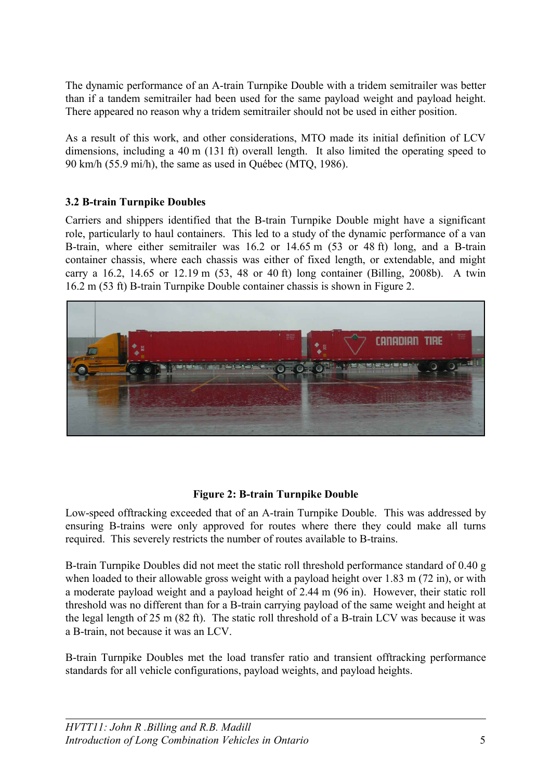The dynamic performance of an A-train Turnpike Double with a tridem semitrailer was better than if a tandem semitrailer had been used for the same payload weight and payload height. There appeared no reason why a tridem semitrailer should not be used in either position.

As a result of this work, and other considerations, MTO made its initial definition of LCV dimensions, including a 40 m (131 ft) overall length. It also limited the operating speed to 90 km/h (55.9 mi/h), the same as used in Québec (MTQ, 1986).

## **3.2 B-train Turnpike Doubles**

Carriers and shippers identified that the B-train Turnpike Double might have a significant role, particularly to haul containers. This led to a study of the dynamic performance of a van B-train, where either semitrailer was 16.2 or 14.65 m (53 or 48 ft) long, and a B-train container chassis, where each chassis was either of fixed length, or extendable, and might carry a 16.2, 14.65 or 12.19 m (53, 48 or 40 ft) long container (Billing, 2008b). A twin 16.2 m (53 ft) B-train Turnpike Double container chassis is shown in [Figure 2.](#page-4-0)



## <span id="page-4-0"></span>**Figure 2: B-train Turnpike Double**

Low-speed offtracking exceeded that of an A-train Turnpike Double. This was addressed by ensuring B-trains were only approved for routes where there they could make all turns required. This severely restricts the number of routes available to B-trains.

B-train Turnpike Doubles did not meet the static roll threshold performance standard of 0.40 g when loaded to their allowable gross weight with a payload height over 1.83 m (72 in), or with a moderate payload weight and a payload height of 2.44 m (96 in). However, their static roll threshold was no different than for a B-train carrying payload of the same weight and height at the legal length of 25 m (82 ft). The static roll threshold of a B-train LCV was because it was a B-train, not because it was an LCV.

B-train Turnpike Doubles met the load transfer ratio and transient offtracking performance standards for all vehicle configurations, payload weights, and payload heights.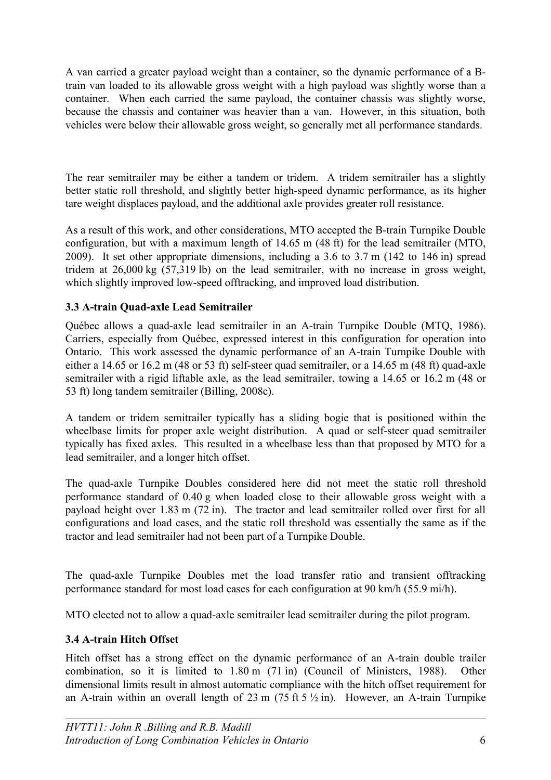A van carried a greater payload weight than a container, so the dynamic performance of a Btrain van loaded to its allowable gross weight with a high payload was slightly worse than a container. When each carried the same payload, the container chassis was slightly worse, because the chassis and container was heavier than a van. However, in this situation, both vehicles were below their allowable gross weight, so generally met all performance standards.

The rear semitrailer may be either a tandem or tridem. A tridem semitrailer has a slightly better static roll threshold, and slightly better high-speed dynamic performance, as its higher tare weight displaces payload, and the additional axle provides greater roll resistance.

As a result of this work, and other considerations, MTO accepted the B-train Turnpike Double configuration, but with a maximum length of 14.65 m (48 ft) for the lead semitrailer (MTO, 2009). It set other appropriate dimensions, including a 3.6 to 3.7 m (142 to 146 in) spread tridem at 26,000 kg (57,319 lb) on the lead semitrailer, with no increase in gross weight, which slightly improved low-speed offtracking, and improved load distribution.

# **3.3 A-train Quad-axle Lead Semitrailer**

Québec allows a quad-axle lead semitrailer in an A-train Turnpike Double (MTQ, 1986). Carriers, especially from Québec, expressed interest in this configuration for operation into Ontario. This work assessed the dynamic performance of an A-train Turnpike Double with either a 14.65 or 16.2 m (48 or 53 ft) self-steer quad semitrailer, or a 14.65 m (48 ft) quad-axle semitrailer with a rigid liftable axle, as the lead semitrailer, towing a 14.65 or 16.2 m (48 or 53 ft) long tandem semitrailer (Billing, 2008c).

A tandem or tridem semitrailer typically has a sliding bogie that is positioned within the wheelbase limits for proper axle weight distribution. A quad or self-steer quad semitrailer typically has fixed axles. This resulted in a wheelbase less than that proposed by MTO for a lead semitrailer, and a longer hitch offset.

The quad-axle Turnpike Doubles considered here did not meet the static roll threshold performance standard of 0.40 g when loaded close to their allowable gross weight with a payload height over 1.83 m (72 in). The tractor and lead semitrailer rolled over first for all configurations and load cases, and the static roll threshold was essentially the same as if the tractor and lead semitrailer had not been part of a Turnpike Double.

The quad-axle Turnpike Doubles met the load transfer ratio and transient offtracking performance standard for most load cases for each configuration at 90 km/h (55.9 mi/h).

MTO elected not to allow a quad-axle semitrailer lead semitrailer during the pilot program.

# **3.4 A-train Hitch Offset**

Hitch offset has a strong effect on the dynamic performance of an A-train double trailer combination, so it is limited to 1.80 m (71 in) (Council of Ministers, 1988). Other dimensional limits result in almost automatic compliance with the hitch offset requirement for an A-train within an overall length of 23 m (75 ft  $5\frac{1}{2}$  in). However, an A-train Turnpike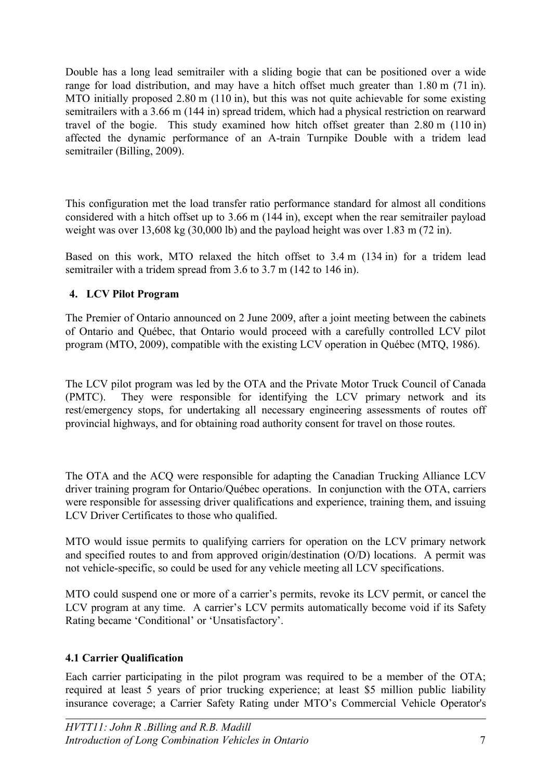Double has a long lead semitrailer with a sliding bogie that can be positioned over a wide range for load distribution, and may have a hitch offset much greater than 1.80 m (71 in). MTO initially proposed 2.80 m (110 in), but this was not quite achievable for some existing semitrailers with a 3.66 m (144 in) spread tridem, which had a physical restriction on rearward travel of the bogie. This study examined how hitch offset greater than 2.80 m (110 in) affected the dynamic performance of an A-train Turnpike Double with a tridem lead semitrailer (Billing, 2009).

This configuration met the load transfer ratio performance standard for almost all conditions considered with a hitch offset up to 3.66 m (144 in), except when the rear semitrailer payload weight was over 13,608 kg (30,000 lb) and the payload height was over 1.83 m (72 in).

Based on this work, MTO relaxed the hitch offset to 3.4 m (134 in) for a tridem lead semitrailer with a tridem spread from 3.6 to 3.7 m (142 to 146 in).

# **4. LCV Pilot Program**

The Premier of Ontario announced on 2 June 2009, after a joint meeting between the cabinets of Ontario and Québec, that Ontario would proceed with a carefully controlled LCV pilot program (MTO, 2009), compatible with the existing LCV operation in Québec (MTQ, 1986).

The LCV pilot program was led by the OTA and the Private Motor Truck Council of Canada (PMTC). They were responsible for identifying the LCV primary network and its rest/emergency stops, for undertaking all necessary engineering assessments of routes off provincial highways, and for obtaining road authority consent for travel on those routes.

The OTA and the ACQ were responsible for adapting the Canadian Trucking Alliance LCV driver training program for Ontario/Québec operations. In conjunction with the OTA, carriers were responsible for assessing driver qualifications and experience, training them, and issuing LCV Driver Certificates to those who qualified.

MTO would issue permits to qualifying carriers for operation on the LCV primary network and specified routes to and from approved origin/destination (O/D) locations. A permit was not vehicle-specific, so could be used for any vehicle meeting all LCV specifications.

MTO could suspend one or more of a carrier's permits, revoke its LCV permit, or cancel the LCV program at any time. A carrier's LCV permits automatically become void if its Safety Rating became 'Conditional' or 'Unsatisfactory'.

# **4.1 Carrier Qualification**

Each carrier participating in the pilot program was required to be a member of the OTA; required at least 5 years of prior trucking experience; at least \$5 million public liability insurance coverage; a Carrier Safety Rating under MTO's Commercial Vehicle Operator's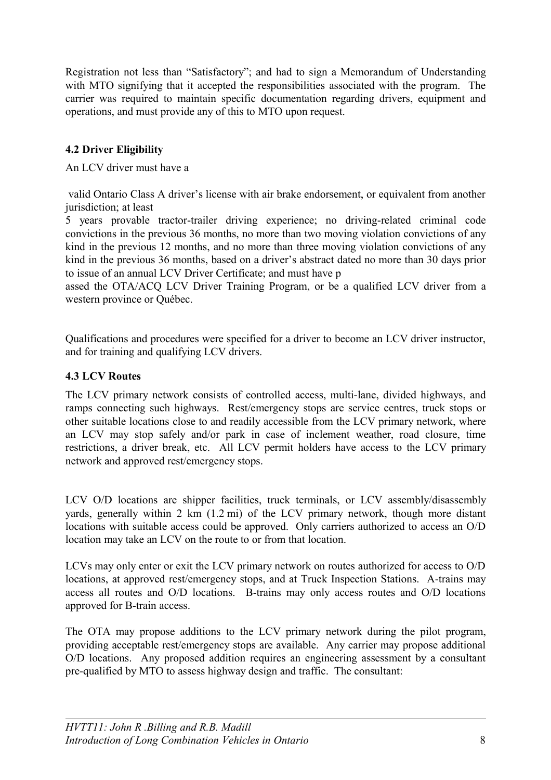Registration not less than "Satisfactory"; and had to sign a Memorandum of Understanding with MTO signifying that it accepted the responsibilities associated with the program. The carrier was required to maintain specific documentation regarding drivers, equipment and operations, and must provide any of this to MTO upon request.

# **4.2 Driver Eligibility**

An LCV driver must have a

 valid Ontario Class A driver's license with air brake endorsement, or equivalent from another jurisdiction; at least

5 years provable tractor-trailer driving experience; no driving-related criminal code convictions in the previous 36 months, no more than two moving violation convictions of any kind in the previous 12 months, and no more than three moving violation convictions of any kind in the previous 36 months, based on a driver's abstract dated no more than 30 days prior to issue of an annual LCV Driver Certificate; and must have p

assed the OTA/ACQ LCV Driver Training Program, or be a qualified LCV driver from a western province or Québec.

Qualifications and procedures were specified for a driver to become an LCV driver instructor, and for training and qualifying LCV drivers.

### **4.3 LCV Routes**

The LCV primary network consists of controlled access, multi-lane, divided highways, and ramps connecting such highways. Rest/emergency stops are service centres, truck stops or other suitable locations close to and readily accessible from the LCV primary network, where an LCV may stop safely and/or park in case of inclement weather, road closure, time restrictions, a driver break, etc. All LCV permit holders have access to the LCV primary network and approved rest/emergency stops.

LCV O/D locations are shipper facilities, truck terminals, or LCV assembly/disassembly yards, generally within 2 km (1.2 mi) of the LCV primary network, though more distant locations with suitable access could be approved. Only carriers authorized to access an O/D location may take an LCV on the route to or from that location.

LCVs may only enter or exit the LCV primary network on routes authorized for access to O/D locations, at approved rest/emergency stops, and at Truck Inspection Stations. A-trains may access all routes and O/D locations. B-trains may only access routes and O/D locations approved for B-train access.

The OTA may propose additions to the LCV primary network during the pilot program, providing acceptable rest/emergency stops are available. Any carrier may propose additional O/D locations. Any proposed addition requires an engineering assessment by a consultant pre-qualified by MTO to assess highway design and traffic. The consultant: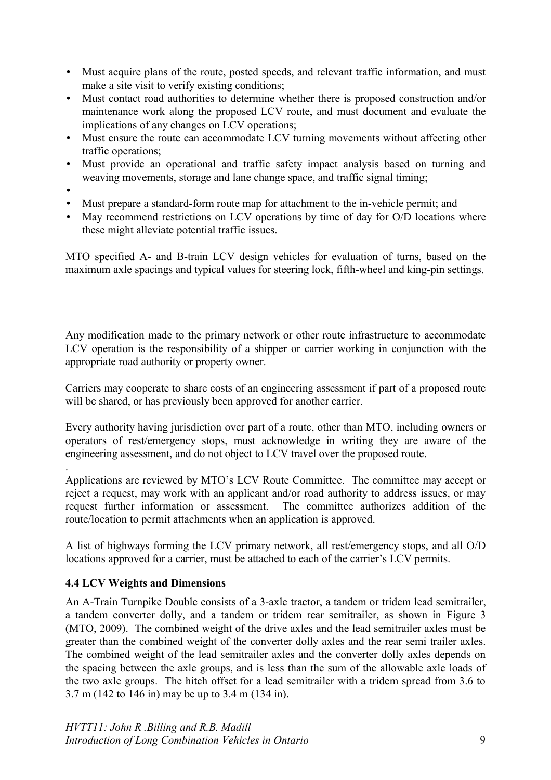- Must acquire plans of the route, posted speeds, and relevant traffic information, and must make a site visit to verify existing conditions;
- Must contact road authorities to determine whether there is proposed construction and/or maintenance work along the proposed LCV route, and must document and evaluate the implications of any changes on LCV operations;
- Must ensure the route can accommodate LCV turning movements without affecting other traffic operations;
- Must provide an operational and traffic safety impact analysis based on turning and weaving movements, storage and lane change space, and traffic signal timing;
- •

.

- Must prepare a standard-form route map for attachment to the in-vehicle permit; and
- May recommend restrictions on LCV operations by time of day for O/D locations where these might alleviate potential traffic issues.

MTO specified A- and B-train LCV design vehicles for evaluation of turns, based on the maximum axle spacings and typical values for steering lock, fifth-wheel and king-pin settings.

Any modification made to the primary network or other route infrastructure to accommodate LCV operation is the responsibility of a shipper or carrier working in conjunction with the appropriate road authority or property owner.

Carriers may cooperate to share costs of an engineering assessment if part of a proposed route will be shared, or has previously been approved for another carrier.

Every authority having jurisdiction over part of a route, other than MTO, including owners or operators of rest/emergency stops, must acknowledge in writing they are aware of the engineering assessment, and do not object to LCV travel over the proposed route.

Applications are reviewed by MTO's LCV Route Committee. The committee may accept or reject a request, may work with an applicant and/or road authority to address issues, or may request further information or assessment. The committee authorizes addition of the route/location to permit attachments when an application is approved.

A list of highways forming the LCV primary network, all rest/emergency stops, and all O/D locations approved for a carrier, must be attached to each of the carrier's LCV permits.

## **4.4 LCV Weights and Dimensions**

An A-Train Turnpike Double consists of a 3-axle tractor, a tandem or tridem lead semitrailer, a tandem converter dolly, and a tandem or tridem rear semitrailer, as shown in [Figure 3](#page-9-0) (MTO, 2009). The combined weight of the drive axles and the lead semitrailer axles must be greater than the combined weight of the converter dolly axles and the rear semi trailer axles. The combined weight of the lead semitrailer axles and the converter dolly axles depends on the spacing between the axle groups, and is less than the sum of the allowable axle loads of the two axle groups. The hitch offset for a lead semitrailer with a tridem spread from 3.6 to 3.7 m (142 to 146 in) may be up to 3.4 m (134 in).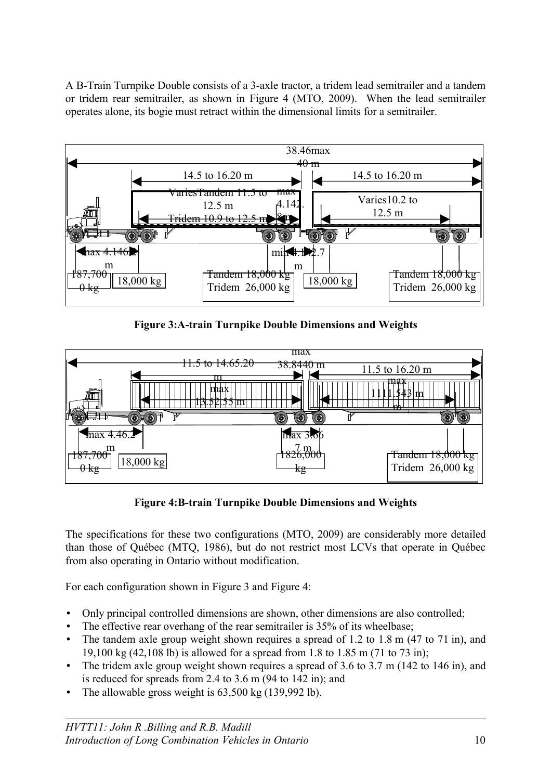A B-Train Turnpike Double consists of a 3-axle tractor, a tridem lead semitrailer and a tandem or tridem rear semitrailer, as shown in [Figure 4](#page-9-1) (MTO, 2009). When the lead semitrailer operates alone, its bogie must retract within the dimensional limits for a semitrailer.



<span id="page-9-0"></span>**Figure 3:A-train Turnpike Double Dimensions and Weights**



<span id="page-9-1"></span>**Figure 4:B-train Turnpike Double Dimensions and Weights**

The specifications for these two configurations (MTO, 2009) are considerably more detailed than those of Québec (MTQ, 1986), but do not restrict most LCVs that operate in Québec from also operating in Ontario without modification.

For each configuration shown in [Figure 3](#page-9-0) and [Figure 4:](#page-9-1)

- Only principal controlled dimensions are shown, other dimensions are also controlled;
- The effective rear overhang of the rear semitrailer is 35% of its wheelbase;
- The tandem axle group weight shown requires a spread of 1.2 to 1.8 m  $(47 \text{ to } 71 \text{ in})$ , and 19,100 kg (42,108 lb) is allowed for a spread from 1.8 to 1.85 m (71 to 73 in);
- The tridem axle group weight shown requires a spread of 3.6 to 3.7 m (142 to 146 in), and is reduced for spreads from 2.4 to 3.6 m (94 to 142 in); and
- The allowable gross weight is 63,500 kg (139,992 lb).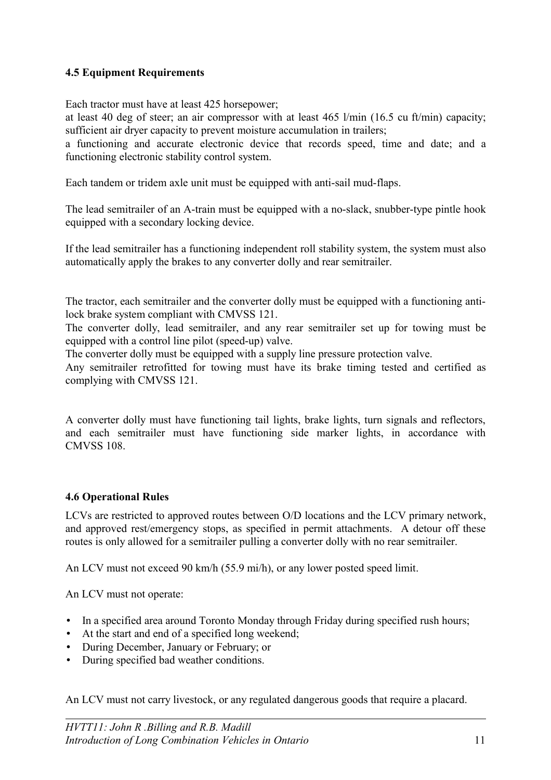## **4.5 Equipment Requirements**

Each tractor must have at least 425 horsepower;

at least 40 deg of steer; an air compressor with at least 465 l/min (16.5 cu ft/min) capacity; sufficient air dryer capacity to prevent moisture accumulation in trailers;

a functioning and accurate electronic device that records speed, time and date; and a functioning electronic stability control system.

Each tandem or tridem axle unit must be equipped with anti-sail mud-flaps.

The lead semitrailer of an A-train must be equipped with a no-slack, snubber-type pintle hook equipped with a secondary locking device.

If the lead semitrailer has a functioning independent roll stability system, the system must also automatically apply the brakes to any converter dolly and rear semitrailer.

The tractor, each semitrailer and the converter dolly must be equipped with a functioning antilock brake system compliant with CMVSS 121.

The converter dolly, lead semitrailer, and any rear semitrailer set up for towing must be equipped with a control line pilot (speed-up) valve.

The converter dolly must be equipped with a supply line pressure protection valve.

Any semitrailer retrofitted for towing must have its brake timing tested and certified as complying with CMVSS 121.

A converter dolly must have functioning tail lights, brake lights, turn signals and reflectors, and each semitrailer must have functioning side marker lights, in accordance with CMVSS 108.

## **4.6 Operational Rules**

LCVs are restricted to approved routes between O/D locations and the LCV primary network, and approved rest/emergency stops, as specified in permit attachments. A detour off these routes is only allowed for a semitrailer pulling a converter dolly with no rear semitrailer.

An LCV must not exceed 90 km/h (55.9 mi/h), or any lower posted speed limit.

An LCV must not operate:

- In a specified area around Toronto Monday through Friday during specified rush hours;
- At the start and end of a specified long weekend;
- During December, January or February; or
- During specified bad weather conditions.

An LCV must not carry livestock, or any regulated dangerous goods that require a placard.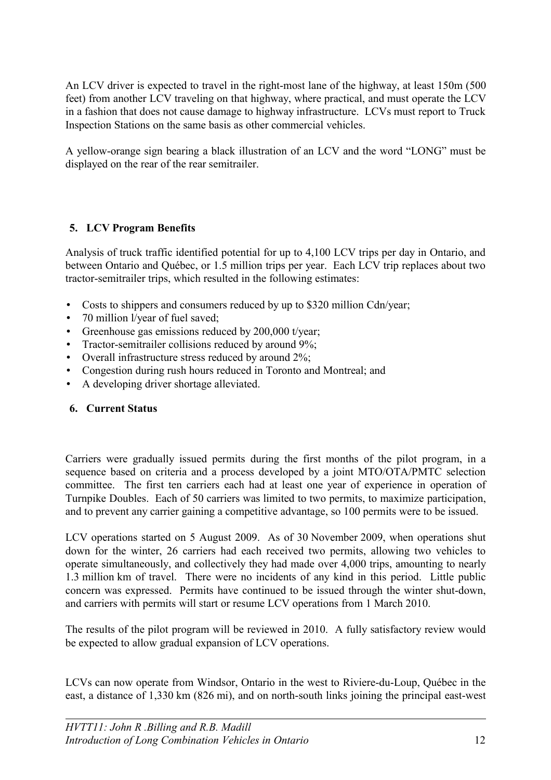An LCV driver is expected to travel in the right-most lane of the highway, at least 150m (500 feet) from another LCV traveling on that highway, where practical, and must operate the LCV in a fashion that does not cause damage to highway infrastructure. LCVs must report to Truck Inspection Stations on the same basis as other commercial vehicles.

A yellow-orange sign bearing a black illustration of an LCV and the word "LONG" must be displayed on the rear of the rear semitrailer.

# **5. LCV Program Benefits**

Analysis of truck traffic identified potential for up to 4,100 LCV trips per day in Ontario, and between Ontario and Québec, or 1.5 million trips per year. Each LCV trip replaces about two tractor-semitrailer trips, which resulted in the following estimates:

- Costs to shippers and consumers reduced by up to \$320 million Cdn/year;
- 70 million l/year of fuel saved;
- Greenhouse gas emissions reduced by 200,000 t/year;
- Tractor-semitrailer collisions reduced by around 9%;
- Overall infrastructure stress reduced by around 2%;
- Congestion during rush hours reduced in Toronto and Montreal; and
- A developing driver shortage alleviated.

## **6. Current Status**

Carriers were gradually issued permits during the first months of the pilot program, in a sequence based on criteria and a process developed by a joint MTO/OTA/PMTC selection committee. The first ten carriers each had at least one year of experience in operation of Turnpike Doubles. Each of 50 carriers was limited to two permits, to maximize participation, and to prevent any carrier gaining a competitive advantage, so 100 permits were to be issued.

LCV operations started on 5 August 2009. As of 30 November 2009, when operations shut down for the winter, 26 carriers had each received two permits, allowing two vehicles to operate simultaneously, and collectively they had made over 4,000 trips, amounting to nearly 1.3 million km of travel. There were no incidents of any kind in this period. Little public concern was expressed. Permits have continued to be issued through the winter shut-down, and carriers with permits will start or resume LCV operations from 1 March 2010.

The results of the pilot program will be reviewed in 2010. A fully satisfactory review would be expected to allow gradual expansion of LCV operations.

LCVs can now operate from Windsor, Ontario in the west to Riviere-du-Loup, Québec in the east, a distance of 1,330 km (826 mi), and on north-south links joining the principal east-west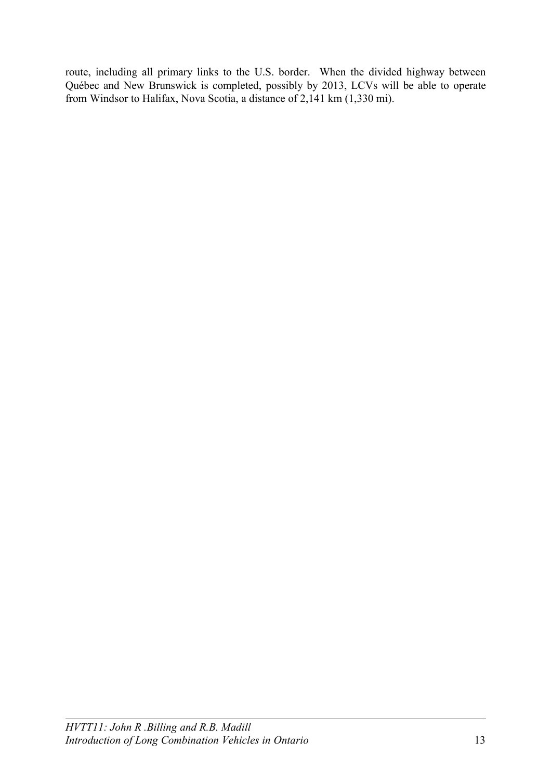route, including all primary links to the U.S. border. When the divided highway between Québec and New Brunswick is completed, possibly by 2013, LCVs will be able to operate from Windsor to Halifax, Nova Scotia, a distance of 2,141 km (1,330 mi).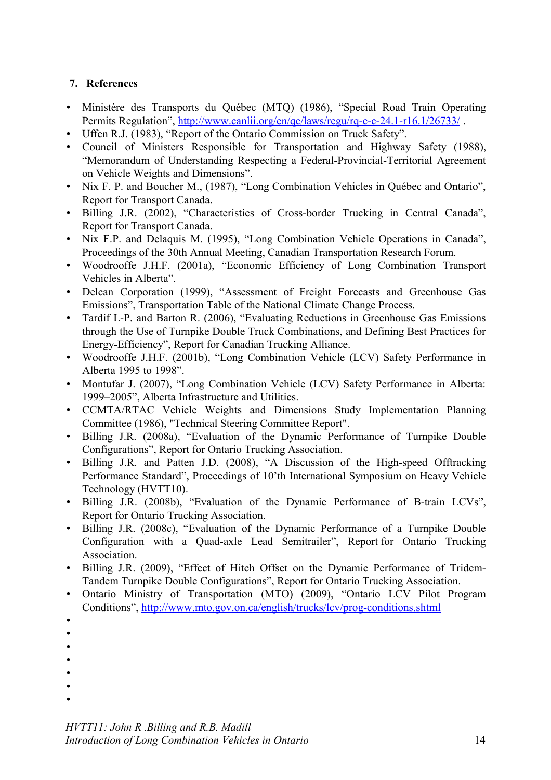# **7. References**

- Ministère des Transports du Québec (MTQ) (1986), "Special Road Train Operating Permits Regulation",<http://www.canlii.org/en/qc/laws/regu/rq-c-c-24.1-r16.1/26733/>.
- Uffen R.J. (1983), "Report of the Ontario Commission on Truck Safety".
- Council of Ministers Responsible for Transportation and Highway Safety (1988), "Memorandum of Understanding Respecting a Federal-Provincial-Territorial Agreement on Vehicle Weights and Dimensions".
- Nix F. P. and Boucher M., (1987), "Long Combination Vehicles in Québec and Ontario", Report for Transport Canada.
- Billing J.R. (2002), "Characteristics of Cross-border Trucking in Central Canada", Report for Transport Canada.
- Nix F.P. and Delaquis M. (1995), "Long Combination Vehicle Operations in Canada", Proceedings of the 30th Annual Meeting, Canadian Transportation Research Forum.
- Woodrooffe J.H.F. (2001a), "Economic Efficiency of Long Combination Transport Vehicles in Alberta".
- Delcan Corporation (1999), "Assessment of Freight Forecasts and Greenhouse Gas Emissions", Transportation Table of the National Climate Change Process.
- Tardif L-P. and Barton R. (2006), "Evaluating Reductions in Greenhouse Gas Emissions through the Use of Turnpike Double Truck Combinations, and Defining Best Practices for Energy-Efficiency", Report for Canadian Trucking Alliance.
- Woodrooffe J.H.F. (2001b), "Long Combination Vehicle (LCV) Safety Performance in Alberta 1995 to 1998".
- Montufar J. (2007), "Long Combination Vehicle (LCV) Safety Performance in Alberta: 1999–2005", Alberta Infrastructure and Utilities.
- CCMTA/RTAC Vehicle Weights and Dimensions Study Implementation Planning Committee (1986), "Technical Steering Committee Report".
- Billing J.R. (2008a), "Evaluation of the Dynamic Performance of Turnpike Double Configurations", Report for Ontario Trucking Association.
- Billing J.R. and Patten J.D. (2008), "A Discussion of the High-speed Offtracking Performance Standard", Proceedings of 10'th International Symposium on Heavy Vehicle Technology (HVTT10).
- Billing J.R. (2008b), "Evaluation of the Dynamic Performance of B-train LCVs", Report for Ontario Trucking Association.
- Billing J.R. (2008c), "Evaluation of the Dynamic Performance of a Turnpike Double Configuration with a Quad-axle Lead Semitrailer", Report for Ontario Trucking Association.
- Billing J.R. (2009), "Effect of Hitch Offset on the Dynamic Performance of Tridem-Tandem Turnpike Double Configurations", Report for Ontario Trucking Association.
- Ontario Ministry of Transportation (MTO) (2009), "Ontario LCV Pilot Program Conditions",<http://www.mto.gov.on.ca/english/trucks/lcv/prog-conditions.shtml>
- •
- •
- •
- •
- •
- •
- •